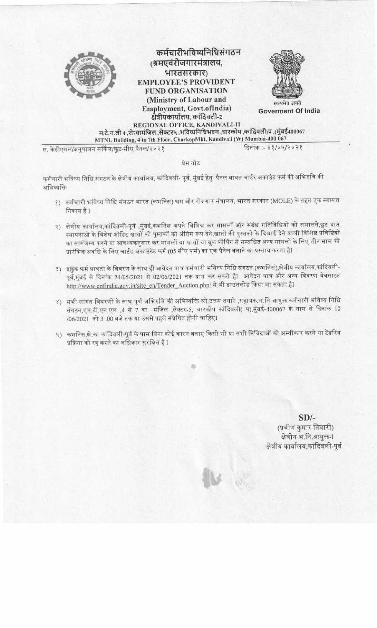

### कर्मचारीभविष्यनिधिसंगठन (श्रमएवंरोजगारमंत्रालय, भारतसरकार) **EMPLOYEE'S PROVIDENT FUND ORGANISATION** (Ministry of Labour and Employment, Govt.ofIndia) क्षेत्रीयकार्यालय, कांदिवली-2



**Goverment Of India** 

REGIONAL OFFICE, KANDIVALI-II म.टे.न.ली 4 .से7वामंजिल ,सेक्टर५ ,भविष्यनिधिभवन ,चारकोप ,कांदिवली)प ,(मुंबई400067 MTNL Building, 4 to 7th Floor, CharkopMkt, Kandivali (W) Mumbai-400 067

सं. केडीएमल/अनुपालन सर्किल/छूट-सीए पैनल/२०२१

दिनांक :- २१/०५/२०२१

प्रेस नोट

कर्मचारी भविष्य निधि संगठन के क्षेत्रीय कार्यालय, कांदिवली- पूर्व, मुंबई हेतु पैनल बाबत चार्टर अकाउंट फर्म की अभिरुचि की अभिव्यक्ति

- १) कर्मचारी भविष्य निधि संगठन भारत (कभनिस) श्रम और रोजगार मंत्रालय, भारत सरकार (MOLE) के तहत एक स्वायत्त निकाय है 1
- २) क्षेत्रीय कार्यालय,कांदिवली-पूर्व ,मुंबई,कभनिस अपने विभिन्न कर मामलों और संबंध गतिविधियों को संभालने,छुट प्राप्त स्थापनाओं के विशेष ऑडिट खातों को पुस्तकों को अंतिम रूप देने,खातों की पुस्तकों के दिखाई देने वाली विशिष्ट प्रविष्टियों का सामंजस्य करने या आवश्यकनुसार कर मामलों या खातों या बुक कीपिंग से सम्बंधित अन्य मामलों के लिए तीन साल की प्रारंभिक अवधि के लिए चार्टड अकाउंटेट फर्म (05 सीए फर्म) का एक पैनेल बनाने का प्रस्ताव करता हैI
- ३) इछुक फर्म पात्रता के विवरण के साथ ही आवेदन पात्र कर्मचारी भविष्य निधि संगठन (कभनिसं),क्षेत्रीय कार्यालय,कांदिवली-पूर्व,मुंबई से दिनांक 24/05/2021 से 02/06/2021 तक प्राप्त कर सकते हैI आवेदन पात्र और अन्य विवरण वेबसाइट http://www.epfindia.gov.in/site\_en/Tender\_Auction.php/ से भी डाउनलोड किया जा सकता हैI
- ४) सभी सांगत विवरणों के साथ पूर्ण अभिरुचि की अभिव्यक्ति श्री.उत्तम तगारे ,सहायक.भ.नि आयुक्त.कर्मचारी भविष्य निधि संगठन,एम.टी.एन.एल ,4 से 7 वा मंजिल ,सेक्टर-5, चारकोप कांदिवली( प),मुंबई-400067 के नाम से दिनांक 10 /06/2021 को 3 :00 बजे तक या उससे पहले संप्रेषित होनी चाहिएI
- ५) कभनिस,क्षे.का कांदिवली-पूर्व के पास बिना कोई कारन बताए किसी भी या सभी निविदाओं को अस्वीकार करने या टेंडरिंग प्रक्रिया को रद्द करने का अधिकार सुरक्षित है I

 $SD/-$ (प्रवीण कुमार तिवारी) क्षेत्रीय भ.नि.आयुक्त-1 क्षेत्रीय कार्यालय,कांदिवली-पूर्व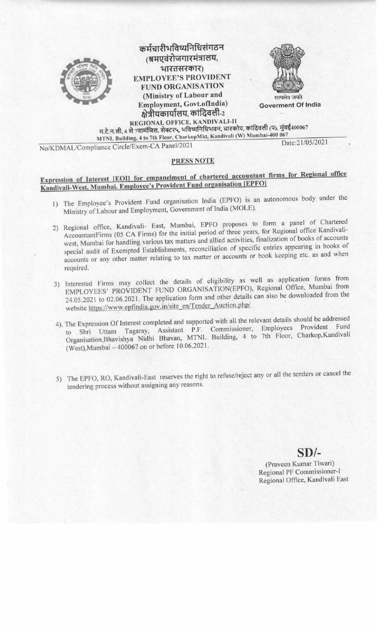





Goverment Of India

REGIONAL OFFICE, KANDIVALI-II म.टे.न.ली, 4 से 7वामंजिल, सेक्टर५, भविष्यनिधिभवन, चारकोप, कांदिवली (प), मुंबई400067 MTNL Building, 4 to 7th Floor, CharkopMkt, Kandivali (W) Mumbai-400 067

No/KDMAL/Compliance Circle/Exem-CA Panel/2021

Date:21/05/2021

#### **PRESS NOTE**

# Expression of Interest [EOI] for empanelment of chartered accountant firms for Regional office Kandivali-West, Mumbai. Employee's Provident Fund organisation [EPFO]

- 1) The Employee's Provident Fund organisation India (EPFO) is an autonomous body under the Ministry of Labour and Employment, Government of India (MOLE).
- 2) Regional office, Kandivali- East, Mumbai, EPFO proposes to form a panel of Chartered AccountantFirms (05 CA Firms) for the initial period of three years, for Regional office Kandivaliwest, Mumbai for handling various tax matters and allied activities, finalization of books of accounts special audit of Exempted Establishments, reconciliation of specific entries appearing in books of accounts or any other matter relating to tax matter or accounts or book keeping etc. as and when required.
- 3) Interested Firms may collect the details of eligibility as well as application forms from EMPLOYEES' PROVIDENT FUND ORGANISATION(EPFO), Regional Office, Mumbai from 24.05.2021 to 02.06.2021. The application form and other details can also be downloaded from the website https://www.epfindia.gov.in/site\_en/Tender\_Auction.php/
- 4). The Expression Of Interest completed and supported with all the relevant details should be addressed Tagaray, Assistant P.F. Commissioner, Employees Provident Fund to Shri Uttam Organisation, Bhavishya Nidhi Bhavan, MTNL Building, 4 to 7th Floor, Charkop, Kandivali (West), Mumbai - 400067 on or before 10.06.2021.
- 5) The EPFO, RO, Kandivali-East reserves the right to refuse/reject any or all the tenders or cancel the tendering process without assigning any reasons.

### $SD/-$

(Praveen Kumar Tiwari) Regional PF Commissioner-I Regional Office, Kandivali East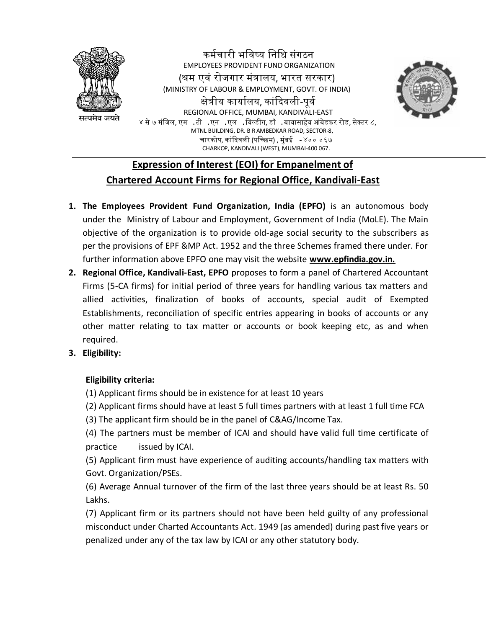

EMPLOYEES PROVIDENT FUND ORGANIZATION (श्रम एवं रोजगार मंत्रालय, भारत सरकार) (MINISTRY OF LABOUR & EMPLOYMENT, GOVT. OF INDIA) क्षेत्रीय कार्यालय, कांदिवली-पूर्व REGIONAL OFFICE, MUMBAI, KANDIVALI-EAST ४ से ७ मंजिल, एम .टी .एन .एल .बिल्डींग, डॉ .बाबासाहेब आंबेडकर रोड, सेक्टर ८, MTNL BUILDING, DR. B R AMBEDKAR ROAD, SECTOR-8, चारकोप, कांदिवली (पच्छिम) , मंबई - ४०० ०६७ CHARKOP, KANDIVALI (WEST), MUMBAI-400 067.

कर्मचारी भविष्य विवि संगठि



### **Expression of Interest (EOI) for Empanelment of Chartered Account Firms for Regional Office, Kandivali-East**

- **1. The Employees Provident Fund Organization, India (EPFO)** is an autonomous body under the Ministry of Labour and Employment, Government of India (MoLE). The Main objective of the organization is to provide old-age social security to the subscribers as per the provisions of EPF &MP Act. 1952 and the three Schemes framed there under. For further information above EPFO one may visit the website **www.epfindia.gov.in.**
- **2. Regional Office, Kandivali-East, EPFO** proposes to form a panel of Chartered Accountant Firms (5-CA firms) for initial period of three years for handling various tax matters and allied activities, finalization of books of accounts, special audit of Exempted Establishments, reconciliation of specific entries appearing in books of accounts or any other matter relating to tax matter or accounts or book keeping etc, as and when required.

#### **3. Eligibility:**

#### **Eligibility criteria:**

(1) Applicant firms should be in existence for at least 10 years

(2) Applicant firms should have at least 5 full times partners with at least 1 full time FCA

(3) The applicant firm should be in the panel of C&AG/Income Tax.

(4) The partners must be member of ICAI and should have valid full time certificate of practice issued by ICAI.

(5) Applicant firm must have experience of auditing accounts/handling tax matters with Govt. Organization/PSEs.

(6) Average Annual turnover of the firm of the last three years should be at least Rs. 50 Lakhs.

(7) Applicant firm or its partners should not have been held guilty of any professional misconduct under Charted Accountants Act. 1949 (as amended) during past five years or penalized under any of the tax law by ICAI or any other statutory body.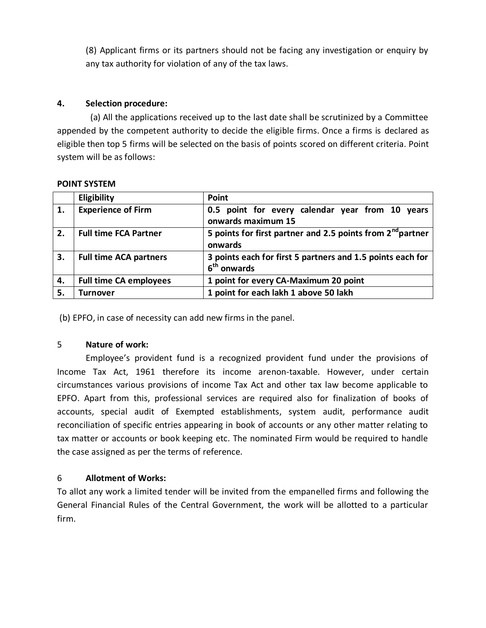(8) Applicant firms or its partners should not be facing any investigation or enquiry by any tax authority for violation of any of the tax laws.

#### **4. Selection procedure:**

 (a) All the applications received up to the last date shall be scrutinized by a Committee appended by the competent authority to decide the eligible firms. Once a firms is declared as eligible then top 5 firms will be selected on the basis of points scored on different criteria. Point system will be as follows:

| <b>POINT SYSTEM</b> |  |
|---------------------|--|
|                     |  |

|    | Eligibility                   | Point                                                                                 |
|----|-------------------------------|---------------------------------------------------------------------------------------|
| 1. | <b>Experience of Firm</b>     | 0.5 point for every calendar year from 10 years<br>onwards maximum 15                 |
| 2. | <b>Full time FCA Partner</b>  | 5 points for first partner and 2.5 points from 2 <sup>nd</sup> partner<br>onwards     |
| 3. | <b>Full time ACA partners</b> | 3 points each for first 5 partners and 1.5 points each for<br>6 <sup>th</sup> onwards |
| 4. | <b>Full time CA employees</b> | 1 point for every CA-Maximum 20 point                                                 |
| 5. | Turnover                      | 1 point for each lakh 1 above 50 lakh                                                 |

(b) EPFO, in case of necessity can add new firms in the panel.

#### 5 **Nature of work:**

 Employee's provident fund is a recognized provident fund under the provisions of Income Tax Act, 1961 therefore its income arenon-taxable. However, under certain circumstances various provisions of income Tax Act and other tax law become applicable to EPFO. Apart from this, professional services are required also for finalization of books of accounts, special audit of Exempted establishments, system audit, performance audit reconciliation of specific entries appearing in book of accounts or any other matter relating to tax matter or accounts or book keeping etc. The nominated Firm would be required to handle the case assigned as per the terms of reference.

#### 6 **Allotment of Works:**

To allot any work a limited tender will be invited from the empanelled firms and following the General Financial Rules of the Central Government, the work will be allotted to a particular firm.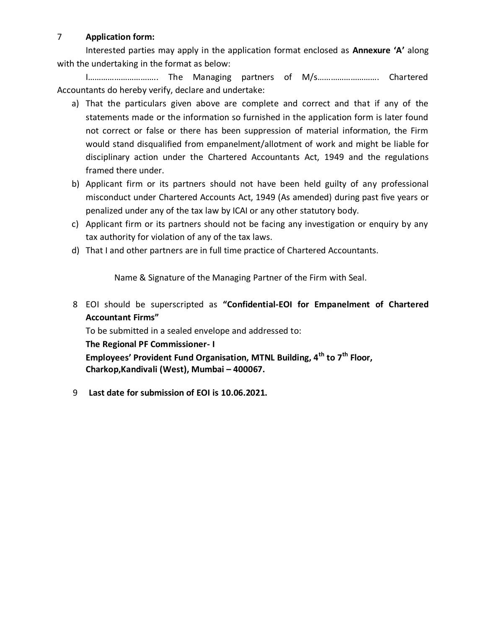### 7 **Application form:**

 Interested parties may apply in the application format enclosed as **Annexure 'A'** along with the undertaking in the format as below:

I………………………….. The Managing partners of M/s………………………. Chartered Accountants do hereby verify, declare and undertake:

- a) That the particulars given above are complete and correct and that if any of the statements made or the information so furnished in the application form is later found not correct or false or there has been suppression of material information, the Firm would stand disqualified from empanelment/allotment of work and might be liable for disciplinary action under the Chartered Accountants Act, 1949 and the regulations framed there under.
- b) Applicant firm or its partners should not have been held guilty of any professional misconduct under Chartered Accounts Act, 1949 (As amended) during past five years or penalized under any of the tax law by ICAI or any other statutory body.
- c) Applicant firm or its partners should not be facing any investigation or enquiry by any tax authority for violation of any of the tax laws.
- d) That I and other partners are in full time practice of Chartered Accountants.

Name & Signature of the Managing Partner of the Firm with Seal.

8 EOI should be superscripted as **"Confidential-EOI for Empanelment of Chartered Accountant Firms"**

 To be submitted in a sealed envelope and addressed to: **The Regional PF Commissioner- I Employees' Provident Fund Organisation, MTNL Building, 4th to 7th Floor, Charkop,Kandivali (West), Mumbai – 400067.** 

9 **Last date for submission of EOI is 10.06.2021.**